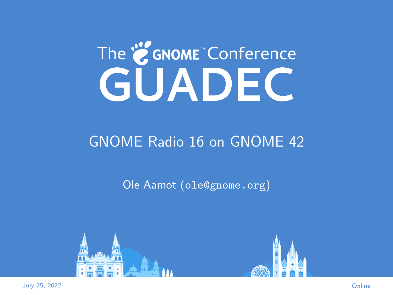# <span id="page-0-0"></span>The "GNOME" Conference **GUADEC**

## GNOME Radio 16 on GNOME 42

Ole Aamot (ole@gnome.org)





July 25, 2022 Online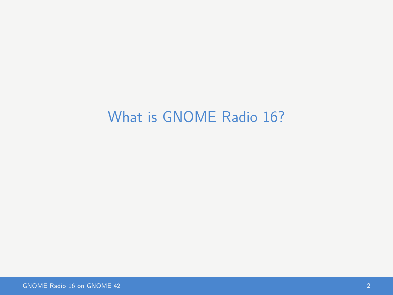# <span id="page-1-0"></span>[What is GNOME Radio 16?](#page-1-0)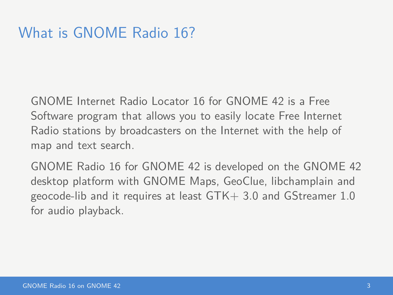## What is GNOME Radio 16?

GNOME Internet Radio Locator 16 for GNOME 42 is a Free Software program that allows you to easily locate Free Internet Radio stations by broadcasters on the Internet with the help of map and text search.

GNOME Radio 16 for GNOME 42 is developed on the GNOME 42 desktop platform with GNOME Maps, GeoClue, libchamplain and geocode-lib and it requires at least GTK+ 3.0 and GStreamer 1.0 for audio playback.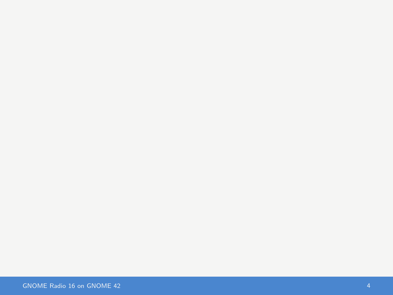[GNOME Radio 16 on GNOME 42](#page-0-0) 4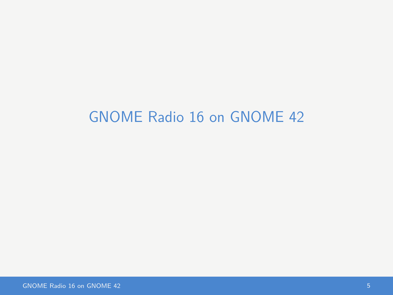# <span id="page-4-0"></span>[GNOME Radio 16 on GNOME 42](#page-4-0)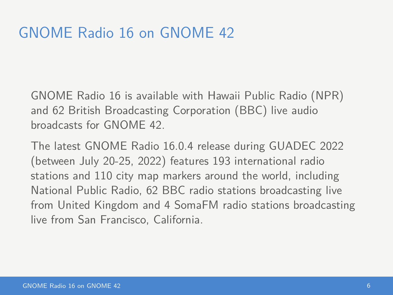## GNOME Radio 16 on GNOME 42

GNOME Radio 16 is available with Hawaii Public Radio (NPR) and 62 British Broadcasting Corporation (BBC) live audio broadcasts for GNOME 42.

The latest GNOME Radio 16.0.4 release during GUADEC 2022 (between July 20-25, 2022) features 193 international radio stations and 110 city map markers around the world, including National Public Radio, 62 BBC radio stations broadcasting live from United Kingdom and 4 SomaFM radio stations broadcasting live from San Francisco, California.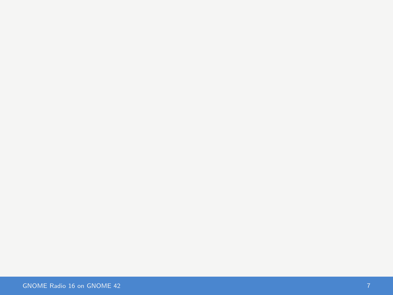[GNOME Radio 16 on GNOME 42](#page-0-0) 7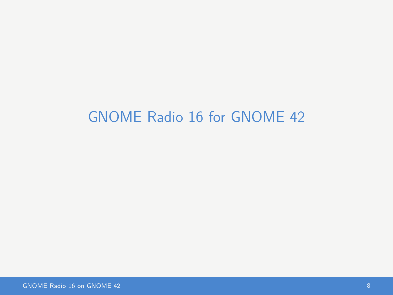# <span id="page-7-0"></span>[GNOME Radio 16 for GNOME 42](#page-7-0)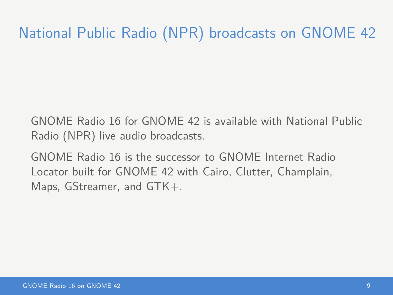# National Public Radio (NPR) broadcasts on GNOME 42

GNOME Radio 16 for GNOME 42 is available with National Public Radio (NPR) live audio broadcasts.

GNOME Radio 16 is the successor to GNOME Internet Radio Locator built for GNOME 42 with Cairo, Clutter, Champlain, Maps, GStreamer, and GTK+.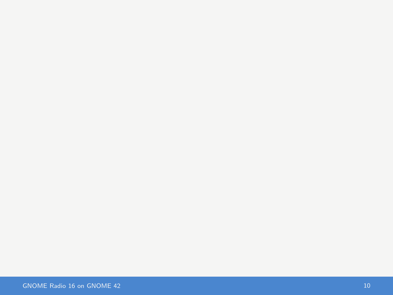[GNOME Radio 16 on GNOME 42](#page-0-0) 10 and 50 and 50 and 50 and 50 and 50 and 50 and 50 and 50 and 50 and 50 and 50 and 50 and 50 and 50 and 50 and 50 and 50 and 50 and 50 and 50 and 50 and 50 and 50 and 50 and 50 and 50 and 50 and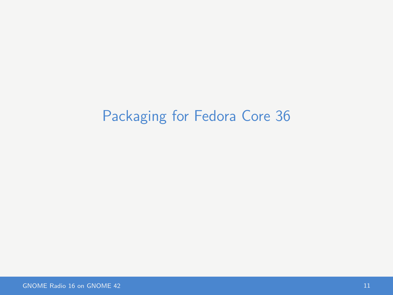## <span id="page-10-0"></span>[Packaging for Fedora Core 36](#page-10-0)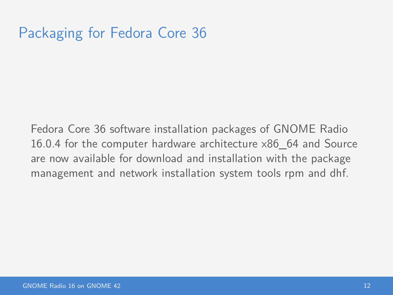## Packaging for Fedora Core 36

Fedora Core 36 software installation packages of GNOME Radio 16.0.4 for the computer hardware architecture x86\_64 and Source are now available for download and installation with the package management and network installation system tools rpm and dhf.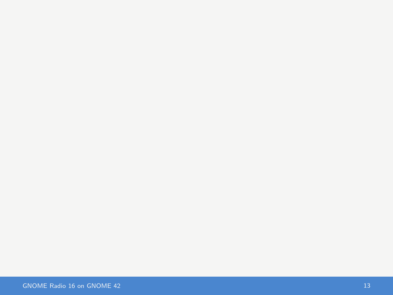[GNOME Radio 16 on GNOME 42](#page-0-0) 13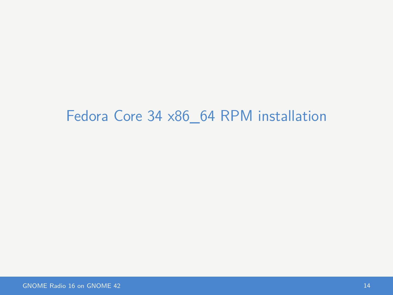## <span id="page-13-0"></span>[Fedora Core 34 x86\\_64 RPM installation](#page-13-0)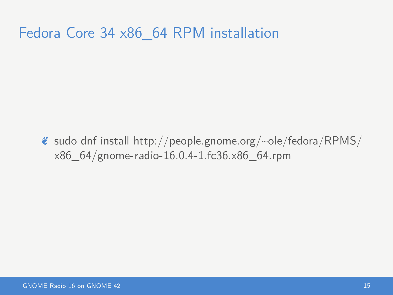## Fedora Core 34 x86\_64 RPM installation

 $\mathscr{C}$  sudo dnf install [http://people.gnome.org/~ole/fedora/RPMS/](http://people.gnome.org/~ole/fedora/RPMS/x86_64/gnome-radio-16.0.4-1.fc36.x86_64.rpm) [x86\\_64/gnome-radio-16.0.4-1.fc36.x86\\_64.rpm](http://people.gnome.org/~ole/fedora/RPMS/x86_64/gnome-radio-16.0.4-1.fc36.x86_64.rpm)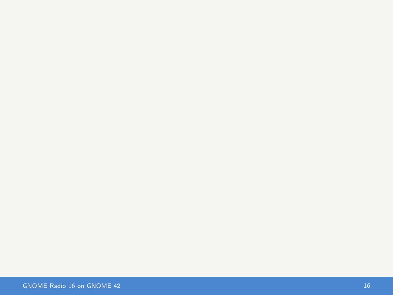[GNOME Radio 16 on GNOME 42](#page-0-0) 16 and 20 and 20 and 20 and 20 and 20 and 20 and 20 and 20 and 20 and 20 and 20 and 20 and 20 and 20 and 20 and 20 and 20 and 20 and 20 and 20 and 20 and 20 and 20 and 20 and 20 and 20 and 20 and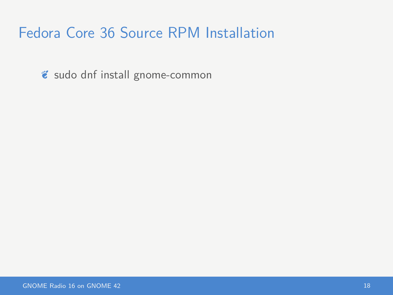ig sudo dnf install gnome-common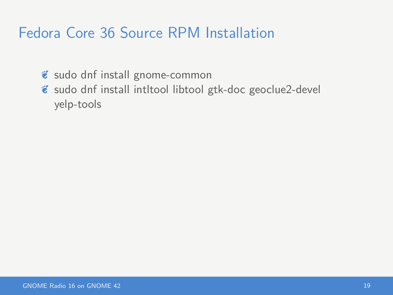- *U* sudo dnf install gnome-common
- is sudo dnf install intltool libtool gtk-doc geoclue2-devel yelp-tools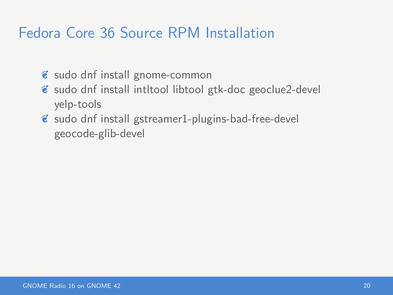- ig sudo dnf install gnome-common
- sudo dnf install intltool libtool gtk-doc geoclue2-devel yelp-tools
- $\ddot{\epsilon}$  sudo dnf install gstreamer1-plugins-bad-free-devel geocode-glib-devel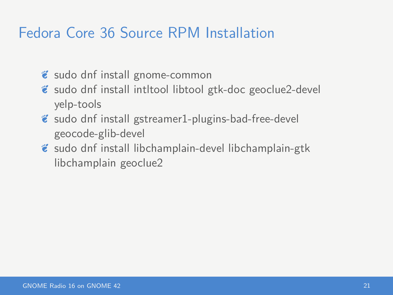- ig sudo dnf install gnome-common
- is sudo dnf install intltool libtool gtk-doc geoclue2-devel yelp-tools
- $\ddot{\epsilon}$  sudo dnf install gstreamer1-plugins-bad-free-devel geocode-glib-devel
- $\ddot{\epsilon}$  sudo dnf install libchamplain-devel libchamplain-gtk libchamplain geoclue2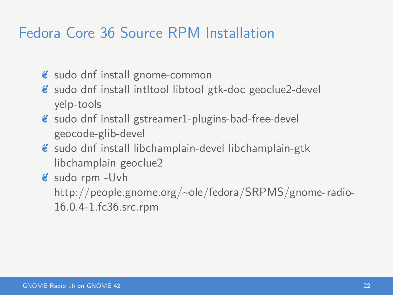- ig sudo dnf install gnome-common
- $\ddot{\mathbf{z}}$  sudo dnf install intltool libtool gtk-doc geoclue2-devel yelp-tools
- $\ddot{\epsilon}$  sudo dnf install gstreamer1-plugins-bad-free-devel geocode-glib-devel
- $\ddot{\epsilon}$  sudo dnf install libchamplain-devel libchamplain-gtk libchamplain geoclue2
- *U* sudo rpm Uvh

[http://people.gnome.org/~ole/fedora/SRPMS/gnome-radio-](http://people.gnome.org/~ole/fedora/SRPMS/gnome-radio-16.0.4-1.fc36.src.rpm)[16.0.4-1.fc36.src.rpm](http://people.gnome.org/~ole/fedora/SRPMS/gnome-radio-16.0.4-1.fc36.src.rpm)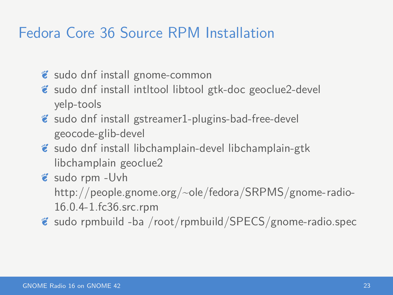- ig sudo dnf install gnome-common
- $\ddot{\mathbf{z}}$  sudo dnf install intltool libtool gtk-doc geoclue2-devel yelp-tools
- $\ddot{\epsilon}$  sudo dnf install gstreamer1-plugins-bad-free-devel geocode-glib-devel
- $\ddot{\epsilon}$  sudo dnf install libchamplain-devel libchamplain-gtk libchamplain geoclue2
- *U* sudo rpm Uvh [http://people.gnome.org/~ole/fedora/SRPMS/gnome-radio-](http://people.gnome.org/~ole/fedora/SRPMS/gnome-radio-16.0.4-1.fc36.src.rpm)[16.0.4-1.fc36.src.rpm](http://people.gnome.org/~ole/fedora/SRPMS/gnome-radio-16.0.4-1.fc36.src.rpm)
- $\mathscr{C}$  sudo rpmbuild -ba /root/rpmbuild/SPECS/gnome-radio.spec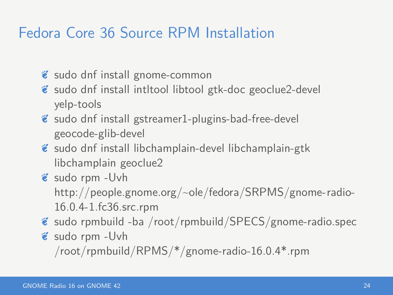- ig sudo dnf install gnome-common
- $\ddot{\mathbf{z}}$  sudo dnf install intltool libtool gtk-doc geoclue2-devel yelp-tools
- $\ddot{\epsilon}$  sudo dnf install gstreamer1-plugins-bad-free-devel geocode-glib-devel
- $\ddot{\epsilon}$  sudo dnf install libchamplain-devel libchamplain-gtk libchamplain geoclue2
- *U* sudo rpm Uvh [http://people.gnome.org/~ole/fedora/SRPMS/gnome-radio-](http://people.gnome.org/~ole/fedora/SRPMS/gnome-radio-16.0.4-1.fc36.src.rpm)[16.0.4-1.fc36.src.rpm](http://people.gnome.org/~ole/fedora/SRPMS/gnome-radio-16.0.4-1.fc36.src.rpm)
- $\mathscr{C}$  sudo rpmbuild -ba /root/rpmbuild/SPECS/gnome-radio.spec
- *U* sudo rpm Uvh /root/rpmbuild/RPMS/\*/gnome-radio-16.0.4\*.rpm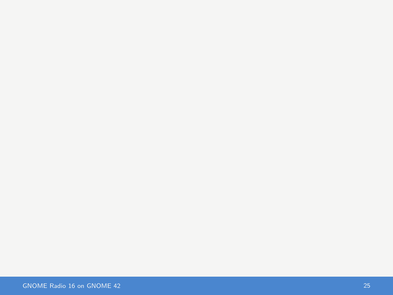[GNOME Radio 16 on GNOME 42](#page-0-0) 25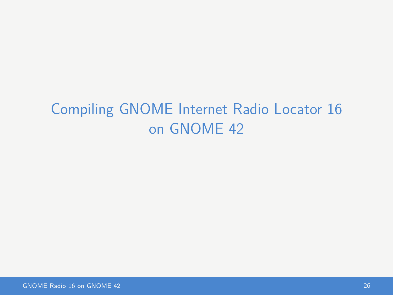# <span id="page-25-0"></span>[Compiling GNOME Internet Radio Locator 16](#page-25-0) [on GNOME 42](#page-25-0)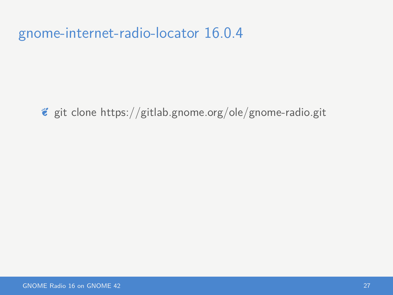$\ddot{\epsilon}$  git clone https://gitlab.gnome.org/ole/gnome-radio.git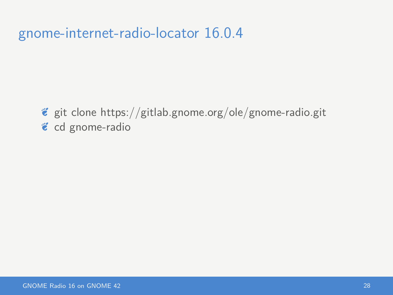$\ddot{\mathbf{z}}$  git clone https://gitlab.gnome.org/ole/gnome-radio.git  $\ddot{\epsilon}$  cd gnome-radio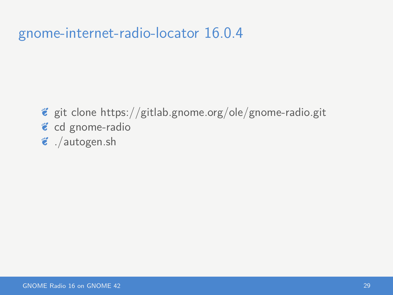- $\ddot{\mathbf{z}}$  git clone https://gitlab.gnome.org/ole/gnome-radio.git
- $\ddot{\epsilon}$  cd gnome-radio
- ./autogen.sh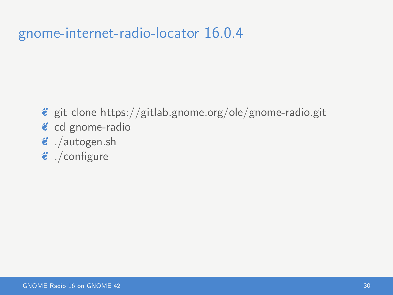- $\ddot{\mathbf{z}}$  git clone https://gitlab.gnome.org/ole/gnome-radio.git
- $\ddot{\epsilon}$  cd gnome-radio
- ./autogen.sh
- $\ddot{\epsilon}$ ./configure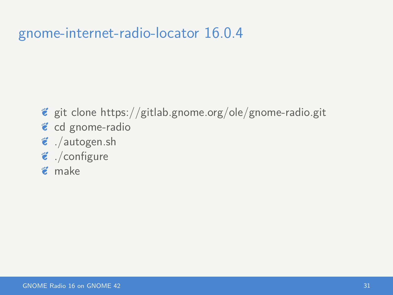- $\ddot{\mathbf{z}}$  git clone https://gitlab.gnome.org/ole/gnome-radio.git
- $\ddot{\epsilon}$  cd gnome-radio
- $\ddot{\mathbf{z}}$ ./autogen.sh
- $\ddot{\mathbf{z}}$ ./configure
- $\ddot{\epsilon}$  make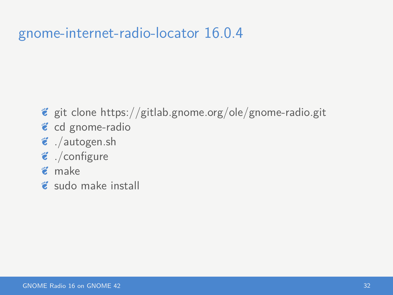- $\ddot{\mathbf{z}}$  git clone https://gitlab.gnome.org/ole/gnome-radio.git
- cd gnome-radio
- $\ddot{\mathbf{z}}$ ./autogen.sh
- $\ddot{\mathbf{z}}$ ./configure
- $\ddot{\epsilon}$  make
- $\ddot{\mathbf{z}}$  sudo make install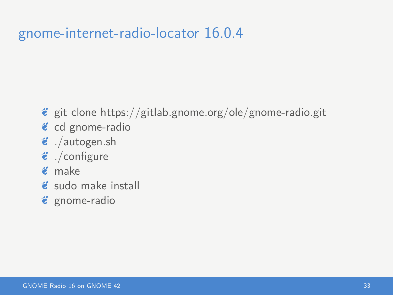- $\ddot{\mathbf{z}}$  git clone https://gitlab.gnome.org/ole/gnome-radio.git
- **c** cd gnome-radio
- $\ddot{\mathbf{z}}$ ./autogen.sh
- $\ddot{\mathbf{z}}$ ./configure
- $\ddot{\epsilon}$  make
- $\ddot{\mathbf{z}}$  sudo make install
- $\ddot{\epsilon}$  gnome-radio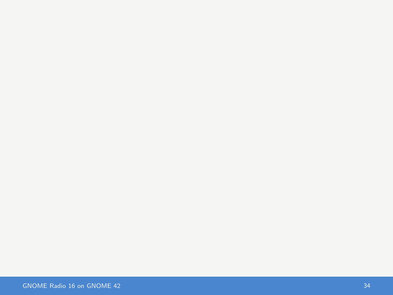[GNOME Radio 16 on GNOME 42](#page-0-0) 34 34 35 36 36 37 38 39 39 30 31 32 34 35 36 37 38 39 39 30 31 32 34 35 36 37 38 39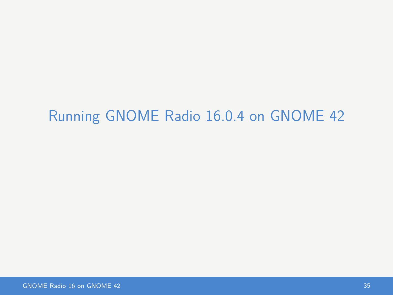# <span id="page-34-0"></span>[Running GNOME Radio 16.0.4 on GNOME 42](#page-34-0)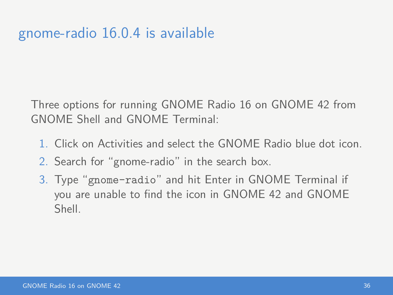### gnome-radio 16.0.4 is available

Three options for running GNOME Radio 16 on GNOME 42 from GNOME Shell and GNOME Terminal:

- 1. Click on Activities and select the GNOME Radio blue dot icon.
- 2. Search for "gnome-radio" in the search box.
- 3. Type "gnome-radio" and hit Enter in GNOME Terminal if you are unable to find the icon in GNOME 42 and GNOME Shell.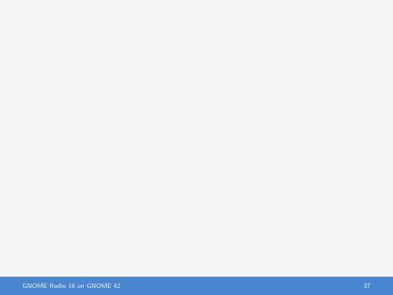[GNOME Radio 16 on GNOME 42](#page-0-0) 37 37 37 38 39 39 39 39 39 30 31 32 33 34 35 36 37 38 39 39 30 31 32 33 37 37 37 37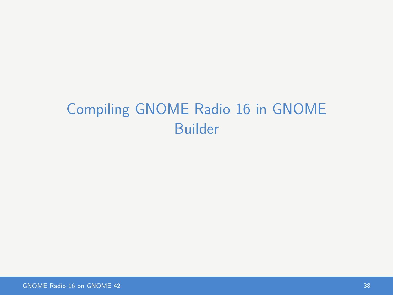# <span id="page-37-0"></span>[Compiling GNOME Radio 16 in GNOME](#page-37-0) [Builder](#page-37-0)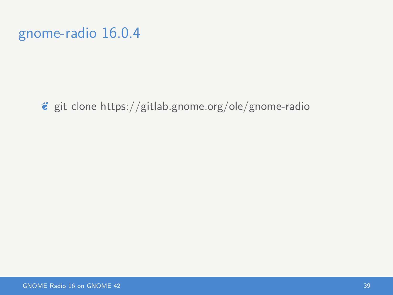$\ddot{\epsilon}$  git clone https://gitlab.gnome.org/ole/gnome-radio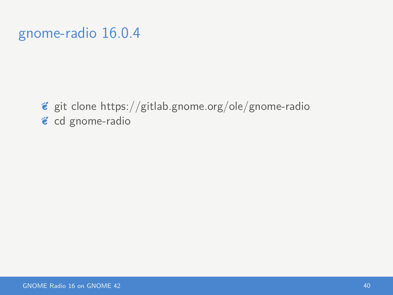- $\ddot{\epsilon}$  git clone https://gitlab.gnome.org/ole/gnome-radio
- cd gnome-radio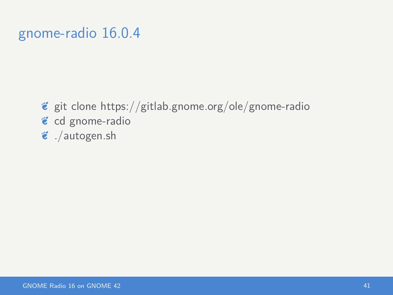- $\mathbf{\ddot{e}}$  git clone https://gitlab.gnome.org/ole/gnome-radio
- cd gnome-radio
- $\ddot{\epsilon}$ ./autogen.sh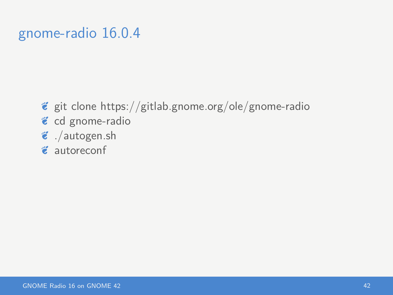- $\mathbf{\ddot{e}}$  git clone https://gitlab.gnome.org/ole/gnome-radio
- cd gnome-radio
- ./autogen.sh
- **autoreconf**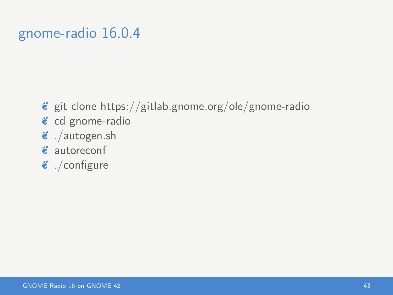- $\ddot{\mathbf{z}}$  git clone https://gitlab.gnome.org/ole/gnome-radio
- cd gnome-radio
- ./autogen.sh
- **autoreconf**
- $\ddot{\mathbf{z}}$  /configure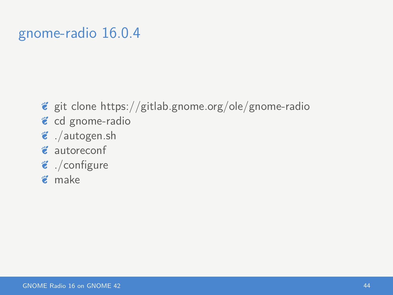- $\ddot{\mathbf{z}}$  git clone https://gitlab.gnome.org/ole/gnome-radio
- cd gnome-radio
- $\ddot{\mathbf{z}}$ ./autogen.sh
- **autoreconf**
- $\ddot{\mathbf{z}}$ ./configure
- $\ddot{\mathbf{z}}$  make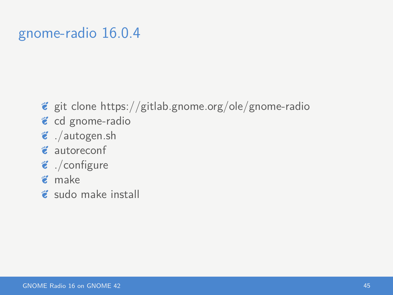- $\ddot{\mathbf{z}}$  git clone https://gitlab.gnome.org/ole/gnome-radio
- cd gnome-radio
- $\ddot{\mathbf{z}}$ ./autogen.sh
- **autoreconf**
- $\ddot{\mathbf{z}}$ ./configure
- $\ddot{\mathbf{z}}$  make
- $\ddot{\mathbf{z}}$  sudo make install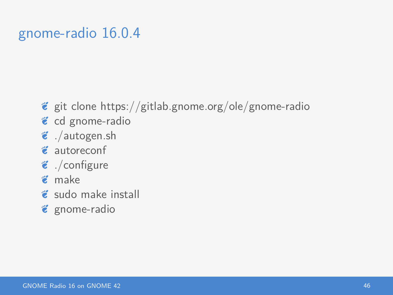- $\ddot{\mathbf{z}}$  git clone https://gitlab.gnome.org/ole/gnome-radio
- cd gnome-radio
- $\ddot{\epsilon}$ ./autogen.sh
- **autoreconf**
- $\ddot{\epsilon}$ ./configure
- $\ddot{\mathbf{z}}$  make
- $\ddot{\mathbf{z}}$  sudo make install
- *g* gnome-radio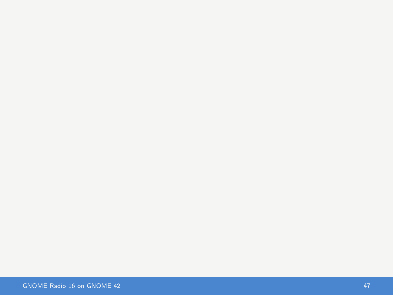[GNOME Radio 16 on GNOME 42](#page-0-0) 47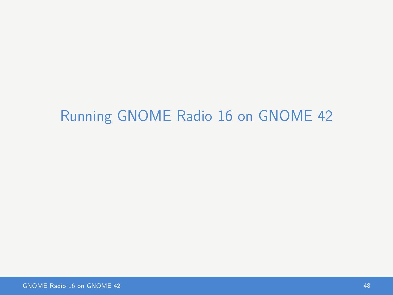## <span id="page-47-0"></span>[Running GNOME Radio 16 on GNOME 42](#page-47-0)